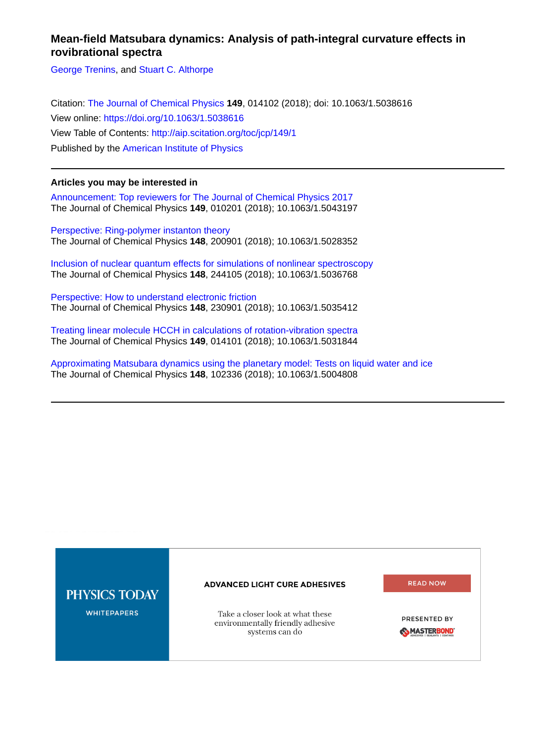# **Mean-field Matsubara dynamics: Analysis of path-integral curvature effects in rovibrational spectra**

[George Trenins](http://aip.scitation.org/author/Trenins%2C+George), and [Stuart C. Althorpe](http://aip.scitation.org/author/Althorpe%2C+Stuart+C)

Citation: [The Journal of Chemical Physics](/loi/jcp) **149**, 014102 (2018); doi: 10.1063/1.5038616 View online: <https://doi.org/10.1063/1.5038616> View Table of Contents: <http://aip.scitation.org/toc/jcp/149/1> Published by the [American Institute of Physics](http://aip.scitation.org/publisher/)

# **Articles you may be interested in**

[Announcement: Top reviewers for The Journal of Chemical Physics 2017](http://aip.scitation.org/doi/abs/10.1063/1.5043197) The Journal of Chemical Physics **149**, 010201 (2018); 10.1063/1.5043197

[Perspective: Ring-polymer instanton theory](http://aip.scitation.org/doi/abs/10.1063/1.5028352) The Journal of Chemical Physics **148**, 200901 (2018); 10.1063/1.5028352

[Inclusion of nuclear quantum effects for simulations of nonlinear spectroscopy](http://aip.scitation.org/doi/abs/10.1063/1.5036768) The Journal of Chemical Physics **148**, 244105 (2018); 10.1063/1.5036768

[Perspective: How to understand electronic friction](http://aip.scitation.org/doi/abs/10.1063/1.5035412) The Journal of Chemical Physics **148**, 230901 (2018); 10.1063/1.5035412

[Treating linear molecule HCCH in calculations of rotation-vibration spectra](http://aip.scitation.org/doi/abs/10.1063/1.5031844) The Journal of Chemical Physics **149**, 014101 (2018); 10.1063/1.5031844

[Approximating Matsubara dynamics using the planetary model: Tests on liquid water and ice](http://aip.scitation.org/doi/abs/10.1063/1.5004808) The Journal of Chemical Physics **148**, 102336 (2018); 10.1063/1.5004808

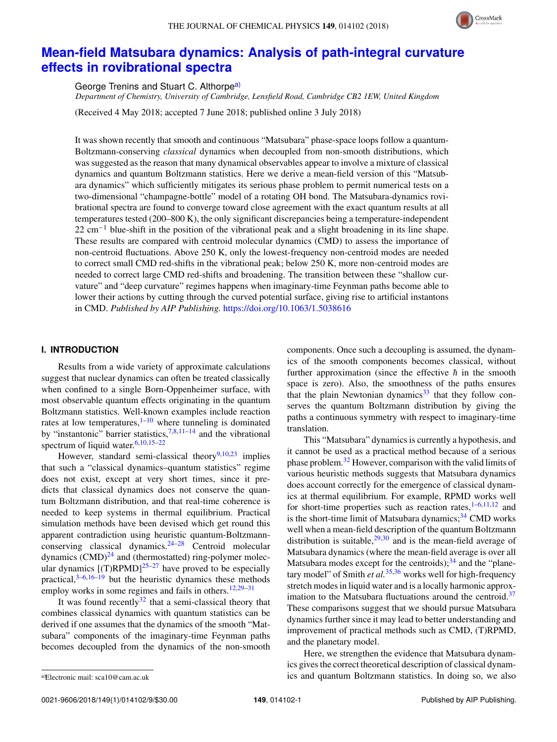

# **[Mean-field Matsubara dynamics: Analysis of path-integral curvature](https://doi.org/10.1063/1.5038616) [effects in rovibrational spectra](https://doi.org/10.1063/1.5038616)**

George Trenins and Stuart C. Althorpe<sup>[a\)](#page-1-0)</sup>

*Department of Chemistry, University of Cambridge, Lensfield Road, Cambridge CB2 1EW, United Kingdom*

(Received 4 May 2018; accepted 7 June 2018; published online 3 July 2018)

It was shown recently that smooth and continuous "Matsubara" phase-space loops follow a quantum-Boltzmann-conserving *classical* dynamics when decoupled from non-smooth distributions, which was suggested as the reason that many dynamical observables appear to involve a mixture of classical dynamics and quantum Boltzmann statistics. Here we derive a mean-field version of this "Matsubara dynamics" which sufficiently mitigates its serious phase problem to permit numerical tests on a two-dimensional "champagne-bottle" model of a rotating OH bond. The Matsubara-dynamics rovibrational spectra are found to converge toward close agreement with the exact quantum results at all temperatures tested (200–800 K), the only significant discrepancies being a temperature-independent 22 cm−<sup>1</sup> blue-shift in the position of the vibrational peak and a slight broadening in its line shape. These results are compared with centroid molecular dynamics (CMD) to assess the importance of non-centroid fluctuations. Above 250 K, only the lowest-frequency non-centroid modes are needed to correct small CMD red-shifts in the vibrational peak; below 250 K, more non-centroid modes are needed to correct large CMD red-shifts and broadening. The transition between these "shallow curvature" and "deep curvature" regimes happens when imaginary-time Feynman paths become able to lower their actions by cutting through the curved potential surface, giving rise to artificial instantons in CMD. *Published by AIP Publishing.* <https://doi.org/10.1063/1.5038616>

## **I. INTRODUCTION**

Results from a wide variety of approximate calculations suggest that nuclear dynamics can often be treated classically when confined to a single Born-Oppenheimer surface, with most observable quantum effects originating in the quantum Boltzmann statistics. Well-known examples include reaction rates at low temperatures, $1-10$  $1-10$  where tunneling is dominated by "instantonic" barrier statistics, $7,8,11-14$  $7,8,11-14$  $7,8,11-14$  $7,8,11-14$  and the vibrational spectrum of liquid water.<sup>[6](#page-8-6)[,10](#page-8-1)[,15](#page-8-7)-22</sup>

However, standard semi-classical theory<sup>[9,](#page-8-9)[10,](#page-8-1)[23](#page-8-10)</sup> implies that such a "classical dynamics–quantum statistics" regime does not exist, except at very short times, since it predicts that classical dynamics does not conserve the quantum Boltzmann distribution, and that real-time coherence is needed to keep systems in thermal equilibrium. Practical simulation methods have been devised which get round this apparent contradiction using heuristic quantum-Boltzmannconserving classical dynamics. $24-28$  $24-28$  Centroid molecular dynamics  $(CMD)^{24}$  $(CMD)^{24}$  $(CMD)^{24}$  and (thermostatted) ring-polymer molecular dynamics  $[(T)$ RPMD $]^{25-27}$  $]^{25-27}$  $]^{25-27}$  have proved to be especially practical, $3-6,16-19$  $3-6,16-19$  $3-6,16-19$  $3-6,16-19$  but the heuristic dynamics these methods employ works in some regimes and fails in others.<sup>[12,](#page-8-18)29-[31](#page-8-20)</sup>

It was found recently $32$  that a semi-classical theory that combines classical dynamics with quantum statistics can be derived if one assumes that the dynamics of the smooth "Matsubara" components of the imaginary-time Feynman paths becomes decoupled from the dynamics of the non-smooth components. Once such a decoupling is assumed, the dynamics of the smooth components becomes classical, without further approximation (since the effective  $\hbar$  in the smooth space is zero). Also, the smoothness of the paths ensures that the plain Newtonian dynamics<sup>[33](#page-8-22)</sup> that they follow conserves the quantum Boltzmann distribution by giving the paths a continuous symmetry with respect to imaginary-time translation.

This "Matsubara" dynamics is currently a hypothesis, and it cannot be used as a practical method because of a serious phase problem.[32](#page-8-21) However, comparison with the valid limits of various heuristic methods suggests that Matsubara dynamics does account correctly for the emergence of classical dynamics at thermal equilibrium. For example, RPMD works well for short-time properties such as reaction rates, $1-6,11,12$  $1-6,11,12$  $1-6,11,12$  $1-6,11,12$  and is the short-time limit of Matsubara dynamics; $3<sup>34</sup>$  $3<sup>34</sup>$  $3<sup>34</sup>$  CMD works well when a mean-field description of the quantum Boltzmann distribution is suitable, $29,30$  $29,30$  and is the mean-field average of Matsubara dynamics (where the mean-field average is over all Matsubara modes except for the centroids); $34$  and the "planetary model" of Smith *et al.*[35](#page-8-25)[,36](#page-8-26) works well for high-frequency stretch modes in liquid water and is a locally harmonic approximation to the Matsubara fluctuations around the centroid. $37$ These comparisons suggest that we should pursue Matsubara dynamics further since it may lead to better understanding and improvement of practical methods such as CMD, (T)RPMD, and the planetary model.

Here, we strengthen the evidence that Matsubara dynamics gives the correct theoretical description of classical dynamics and quantum Boltzmann statistics. In doing so, we also

<span id="page-1-0"></span>a)Electronic mail: [sca10@cam.ac.uk](mailto:sca10@cam.ac.uk)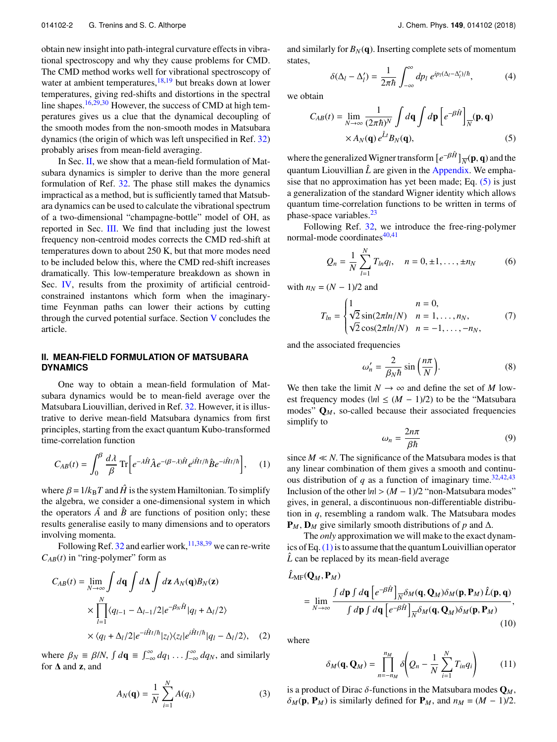obtain new insight into path-integral curvature effects in vibrational spectroscopy and why they cause problems for CMD. The CMD method works well for vibrational spectroscopy of water at ambient temperatures, $18,19$  $18,19$  but breaks down at lower temperatures, giving red-shifts and distortions in the spectral line shapes.<sup>[16,](#page-8-16)[29,](#page-8-19)[30](#page-8-24)</sup> However, the success of CMD at high temperatures gives us a clue that the dynamical decoupling of the smooth modes from the non-smooth modes in Matsubara dynamics (the origin of which was left unspecified in Ref. [32\)](#page-8-21) probably arises from mean-field averaging.

In Sec. [II,](#page-2-0) we show that a mean-field formulation of Matsubara dynamics is simpler to derive than the more general formulation of Ref. [32.](#page-8-21) The phase still makes the dynamics impractical as a method, but is sufficiently tamed that Matsubara dynamics can be used to calculate the vibrational spectrum of a two-dimensional "champagne-bottle" model of OH, as reported in Sec. [III.](#page-3-0) We find that including just the lowest frequency non-centroid modes corrects the CMD red-shift at temperatures down to about 250 K, but that more modes need to be included below this, where the CMD red-shift increases dramatically. This low-temperature breakdown as shown in Sec. [IV,](#page-5-0) results from the proximity of artificial centroidconstrained instantons which form when the imaginarytime Feynman paths can lower their actions by cutting through the curved potential surface. Section [V](#page-7-0) concludes the article.

# <span id="page-2-0"></span>**II. MEAN-FIELD FORMULATION OF MATSUBARA DYNAMICS**

One way to obtain a mean-field formulation of Matsubara dynamics would be to mean-field average over the Matsubara Liouvillian, derived in Ref. [32.](#page-8-21) However, it is illustrative to derive mean-field Matsubara dynamics from first principles, starting from the exact quantum Kubo-transformed time-correlation function

<span id="page-2-2"></span>
$$
C_{AB}(t) = \int_0^\beta \frac{d\lambda}{\beta} \operatorname{Tr} \left[ e^{-\lambda \hat{H}} \hat{A} e^{-(\beta - \lambda)\hat{H}} e^{i\hat{H}t/\hbar} \hat{B} e^{-i\hat{H}t/\hbar} \right], \quad (1)
$$

where  $\beta = 1/k_B T$  and  $\hat{H}$  is the system Hamiltonian. To simplify the algebra, we consider a one-dimensional system in which the operators  $\hat{A}$  and  $\hat{B}$  are functions of position only; these results generalise easily to many dimensions and to operators involving momenta.

Following Ref. [32](#page-8-21) and earlier work,  $11,38,39$  $11,38,39$  $11,38,39$  we can re-write  $C_{AB}(t)$  in "ring-polymer" form as

$$
C_{AB}(t) = \lim_{N \to \infty} \int d\mathbf{q} \int d\mathbf{\Delta} \int d\mathbf{z} A_N(\mathbf{q}) B_N(\mathbf{z})
$$
  
 
$$
\times \prod_{l=1}^N \langle q_{l-1} - \Delta_{l-1}/2 | e^{-\beta_N \hat{H}} | q_l + \Delta_l/2 \rangle
$$
  
 
$$
\times \langle q_l + \Delta_l/2 | e^{-i\hat{H}t/\hbar} | z_l \rangle \langle z_l | e^{i\hat{H}t/\hbar} | q_l - \Delta_l/2 \rangle, \quad (2)
$$

where  $\beta_N \equiv \beta/N$ ,  $\int d\mathbf{q} \equiv \int_{-\infty}^{\infty} dq_1 \dots \int_{-\infty}^{\infty} dq_N$ , and similarly for **A** and **z** and for ∆ and **z**, and

<span id="page-2-5"></span>
$$
A_N(\mathbf{q}) = \frac{1}{N} \sum_{i=1}^{N} A(q_i)
$$
 (3)

and similarly for  $B_N(q)$ . Inserting complete sets of momentum states,

<span id="page-2-1"></span>
$$
\delta(\Delta_l - \Delta'_l) = \frac{1}{2\pi\hbar} \int_{-\infty}^{\infty} dp_l \ e^{ip_l(\Delta_l - \Delta'_l)/\hbar}, \tag{4}
$$

we obtain

$$
C_{AB}(t) = \lim_{N \to \infty} \frac{1}{(2\pi\hbar)^N} \int d\mathbf{q} \int d\mathbf{p} \left[ e^{-\beta \hat{H}} \right]_{\overline{N}} (\mathbf{p}, \mathbf{q})
$$

$$
\times A_N(\mathbf{q}) e^{\hat{L}t} B_N(\mathbf{q}), \tag{5}
$$

where the generalized Wigner transform  $[e^{-\beta \hat{H}}]_{\overline{N}}(\mathbf{p},\mathbf{q})$  and the quantum Liouvillian  $\hat{L}$  are given in the [Appendix.](#page-7-1) We emphasise that no approximation has yet been made; Eq.  $(5)$  is just a generalization of the standard Wigner identity which allows quantum time-correlation functions to be written in terms of phase-space variables.<sup>[23](#page-8-10)</sup>

Following Ref. [32,](#page-8-21) we introduce the free-ring-polymer normal-mode coordinates $40,41$  $40,41$ 

$$
Q_n = \frac{1}{N} \sum_{l=1}^{N} T_{ln} q_l, \quad n = 0, \pm 1, \dots, \pm n_N
$$
 (6)

with  $n_N = (N - 1)/2$  and

$$
T_{ln} = \begin{cases} 1 & n = 0, \\ \sqrt{2} \sin(2\pi ln/N) & n = 1, ..., n_N, \\ \sqrt{2} \cos(2\pi ln/N) & n = -1, ..., -n_N, \end{cases}
$$
 (7)

and the associated frequencies

$$
\omega_n' = \frac{2}{\beta_N \hbar} \sin\left(\frac{n\pi}{N}\right). \tag{8}
$$

We then take the limit  $N \to \infty$  and define the set of *M* lowest frequency modes ( $|n| \leq (M - 1)/2$ ) to be the "Matsubara modes" **Q***M*, so-called because their associated frequencies simplify to

<span id="page-2-4"></span>
$$
\omega_n = \frac{2n\pi}{\beta\hbar} \tag{9}
$$

 $\omega_n = \frac{\beta \hbar}{\beta \hbar}$  (9)<br>since *M*  $\ll N$ . The significance of the Matsubara modes is that any linear combination of them gives a smooth and continuous distribution of *q* as a function of imaginary time.<sup>[32,](#page-8-21)[42](#page-8-33)[,43](#page-8-34)</sup> Inclusion of the other  $|n| > (M - 1)/2$  "non-Matsubara modes" gives, in general, a discontinuous non-differentiable distribution in *q*, resembling a random walk. The Matsubara modes  $P_M$ ,  $D_M$  give similarly smooth distributions of *p* and  $\Delta$ .

The *only* approximation we will make to the exact dynamics of Eq.  $(1)$  is to assume that the quantum Louivillian operator L can be replaced by its mean-field average

$$
\hat{L}_{\text{MF}}(\mathbf{Q}_M, \mathbf{P}_M)
$$
\n
$$
= \lim_{N \to \infty} \frac{\int d\mathbf{p} \int d\mathbf{q} \left[ e^{-\beta \hat{H}} \right]_{N} \delta_M(\mathbf{q}, \mathbf{Q}_M) \delta_M(\mathbf{p}, \mathbf{P}_M) \hat{L}(\mathbf{p}, \mathbf{q})}{\int d\mathbf{p} \int d\mathbf{q} \left[ e^{-\beta \hat{H}} \right]_{N} \delta_M(\mathbf{q}, \mathbf{Q}_M) \delta_M(\mathbf{p}, \mathbf{P}_M)},
$$
\n(10)

where

<span id="page-2-3"></span>
$$
\delta_M(\mathbf{q}, \mathbf{Q}_M) = \prod_{n=-n_M}^{n_M} \delta\!\left(Q_n - \frac{1}{N} \sum_{i=1}^N T_{in} q_i\right) \tag{11}
$$

is a product of Dirac  $\delta$ -functions in the Matsubara modes  $\mathbf{Q}_M$ ,  $\delta_M(\mathbf{p}, \mathbf{P}_M)$  is similarly defined for  $\mathbf{P}_M$ , and  $n_M = (M - 1)/2$ .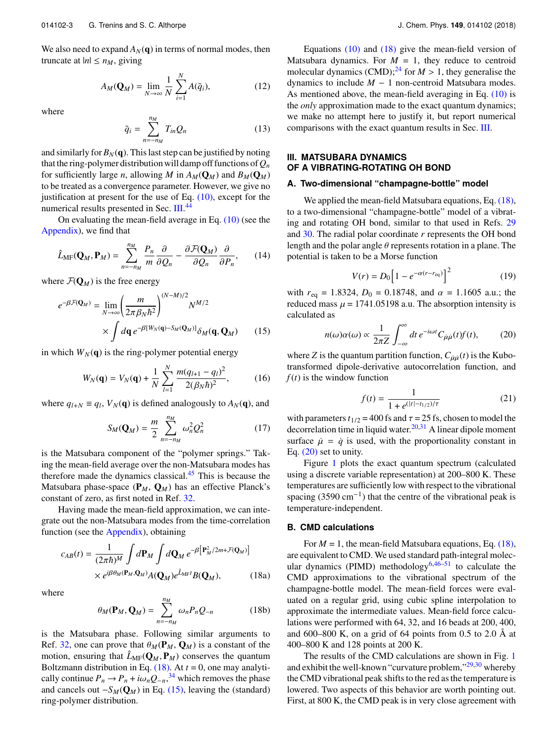We also need to expand  $A_N(q)$  in terms of normal modes, then truncate at  $|n| \leq n_M$ , giving

$$
A_M(\mathbf{Q}_M) = \lim_{N \to \infty} \frac{1}{N} \sum_{i=1}^N A(\tilde{q}_i), \tag{12}
$$

where

$$
\tilde{q}_i = \sum_{n=-n_M}^{n_M} T_{in} Q_n \tag{13}
$$

and similarly for  $B_N(q)$ . This last step can be justified by noting that the ring-polymer distribution will damp off functions of  $Q_n$ for sufficiently large *n*, allowing *M* in  $A_M(Q_M)$  and  $B_M(Q_M)$ to be treated as a convergence parameter. However, we give no justification at present for the use of Eq. [\(10\),](#page-2-3) except for the numerical results presented in Sec. [III.](#page-3-0)<sup>[44](#page-8-35)</sup>

On evaluating the mean-field average in Eq. [\(10\)](#page-2-3) (see the [Appendix\)](#page-7-1), we find that

$$
\hat{L}_{\text{MF}}(\mathbf{Q}_M, \mathbf{P}_M) = \sum_{n=-n_M}^{n_M} \frac{P_n}{m} \frac{\partial}{\partial Q_n} - \frac{\partial \mathcal{F}(\mathbf{Q}_M)}{\partial Q_n} \frac{\partial}{\partial P_n}, \qquad (14)
$$

where  $\mathcal{F}(\mathbf{Q}_M)$  is the free energy

$$
e^{-\beta \mathcal{F}(\mathbf{Q}_M)} = \lim_{N \to \infty} \left( \frac{m}{2\pi \beta_N \hbar^2} \right)^{(N-M)/2} N^{M/2}
$$

$$
\times \int d\mathbf{q} \, e^{-\beta [W_N(\mathbf{q}) - S_M(\mathbf{Q}_M)]} \delta_M(\mathbf{q}, \mathbf{Q}_M) \qquad (15)
$$

in which  $W_N(q)$  is the ring-polymer potential energy

$$
W_N(\mathbf{q}) = V_N(\mathbf{q}) + \frac{1}{N} \sum_{l=1}^N \frac{m(q_{l+1} - q_l)^2}{2(\beta_N \hbar)^2},
$$
 (16)

where  $q_{l+N} \equiv q_l$ ,  $V_N(\mathbf{q})$  is defined analogously to  $A_N(\mathbf{q})$ , and

$$
S_M(\mathbf{Q}_M) = \frac{m}{2} \sum_{n=-n_M}^{n_M} \omega_n^2 Q_n^2 \tag{17}
$$

is the Matsubara component of the "polymer springs." Taking the mean-field average over the non-Matsubara modes has therefore made the dynamics classical.[45](#page-8-36) This is because the Matsubara phase-space  $(\mathbf{P}_M, \mathbf{Q}_M)$  has an effective Planck's constant of zero, as first noted in Ref. [32.](#page-8-21)

Having made the mean-field approximation, we can integrate out the non-Matsubara modes from the time-correlation function (see the [Appendix\)](#page-7-1), obtaining

$$
c_{AB}(t) = \frac{1}{(2\pi\hbar)^M} \int d\mathbf{P}_M \int d\mathbf{Q}_M e^{-\beta \left[\mathbf{P}_M^2/2m + \mathcal{F}(\mathbf{Q}_M)\right]}
$$

$$
\times e^{j\beta\theta_M(\mathbf{P}_M, \mathbf{Q}_M)} A(\mathbf{Q}_M) e^{\hat{L}_{\text{MF}}t} B(\mathbf{Q}_M), \tag{18a}
$$

where

$$
\theta_M(\mathbf{P}_M, \mathbf{Q}_M) = \sum_{n=-n_M}^{n_M} \omega_n P_n Q_{-n}
$$
 (18b)

is the Matsubara phase. Following similar arguments to Ref. [32,](#page-8-21) one can prove that  $\theta_M(\mathbf{P}_M, \mathbf{Q}_M)$  is a constant of the motion, ensuring that  $\hat{L}_{MF}(\mathbf{Q}_M, \mathbf{P}_M)$  conserves the quantum Boltzmann distribution in Eq.  $(18)$ . At  $t = 0$ , one may analytically continue  $P_n \to P_n + i\omega_n Q_{-n}$ ,<sup>[34](#page-8-23)</sup> which removes the phase<br>and cancels out  $-S_{\alpha}(\Omega_{\rm V})$  in Eq. (15) leaving the (standard) and cancels out  $-S_M(Q_M)$  in Eq. [\(15\),](#page-3-2) leaving the (standard) ring-polymer distribution.

Equations  $(10)$  and  $(18)$  give the mean-field version of Matsubara dynamics. For  $M = 1$ , they reduce to centroid molecular dynamics  $(CMD)$ ;<sup>[24](#page-8-11)</sup> for  $M > 1$ , they generalise the dynamics to include *M* − 1 non-centroid Matsubara modes. As mentioned above, the mean-field averaging in Eq. [\(10\)](#page-2-3) is the *only* approximation made to the exact quantum dynamics; we make no attempt here to justify it, but report numerical comparisons with the exact quantum results in Sec. [III.](#page-3-0)

## <span id="page-3-0"></span>**III. MATSUBARA DYNAMICS OF A VIBRATING-ROTATING OH BOND**

#### **A. Two-dimensional "champagne-bottle" model**

We applied the mean-field Matsubara equations, Eq.  $(18)$ , to a two-dimensional "champagne-bottle" model of a vibrating and rotating OH bond, similar to that used in Refs. [29](#page-8-19) and [30.](#page-8-24) The radial polar coordinate *r* represents the OH bond length and the polar angle  $\theta$  represents rotation in a plane. The potential is taken to be a Morse function

<span id="page-3-5"></span>
$$
V(r) = D_0 \left[ 1 - e^{-\alpha(r - r_{\text{eq}})} \right]^2 \tag{19}
$$

with  $r_{eq} = 1.8324$ ,  $D_0 = 0.18748$ , and  $\alpha = 1.1605$  a.u.; the reduced mass  $\mu$  = 1741.05198 a.u. The absorption intensity is calculated as

<span id="page-3-4"></span>
$$
n(\omega)\alpha(\omega) \propto \frac{1}{2\pi Z} \int_{-\infty}^{\infty} dt \, e^{-i\omega t} C_{\mu\mu}(t) f(t),\tag{20}
$$

<span id="page-3-2"></span>where *Z* is the quantum partition function,  $C_{\mu\mu}(t)$  is the Kubo-<br>transformed dipole derivative autocorrelation function, and transformed dipole-derivative autocorrelation function, and  $f(t)$  is the window function

$$
f(t) = \frac{1}{1 + e^{(|t| - t_{1/2})/\tau}}
$$
(21)

with parameters  $t_{1/2}$  = 400 fs and  $\tau$  = 25 fs, chosen to model the decorrelation time in liquid water. $20,31$  $20,31$  A linear dipole moment surface  $\dot{\mu} = \dot{q}$  is used, with the proportionality constant in Eq. [\(20\)](#page-3-4) set to unity.

Figure [1](#page-4-0) plots the exact quantum spectrum (calculated using a discrete variable representation) at 200–800 K. These temperatures are sufficiently low with respect to the vibrational spacing  $(3590 \text{ cm}^{-1})$  that the centre of the vibrational peak is temperature-independent.

#### **B. CMD calculations**

<span id="page-3-1"></span>For  $M = 1$ , the mean-field Matsubara equations, Eq. [\(18\),](#page-3-1) are equivalent to CMD. We used standard path-integral molec-ular dynamics (PIMD) methodology<sup>[6,](#page-8-6)[46–](#page-8-38)[51](#page-9-0)</sup> to calculate the CMD approximations to the vibrational spectrum of the champagne-bottle model. The mean-field forces were evaluated on a regular grid, using cubic spline interpolation to approximate the intermediate values. Mean-field force calculations were performed with 64, 32, and 16 beads at 200, 400, and  $600-800$  K, on a grid of 64 points from 0.5 to 2.0 Å at 400–800 K and 128 points at 200 K.

<span id="page-3-3"></span>The results of the CMD calculations are shown in Fig. [1](#page-4-0) and exhibit the well-known "curvature problem,"<sup>[29,](#page-8-19)[30](#page-8-24)</sup> whereby the CMD vibrational peak shifts to the red as the temperature is lowered. Two aspects of this behavior are worth pointing out. First, at 800 K, the CMD peak is in very close agreement with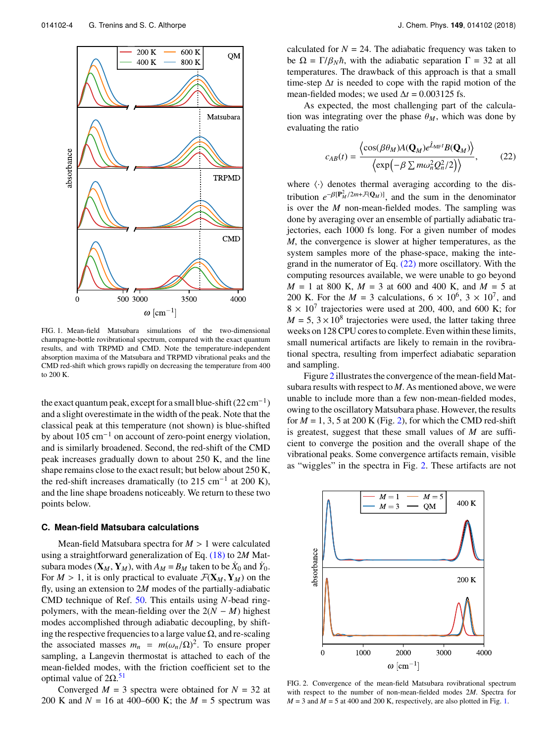<span id="page-4-0"></span>

FIG. 1. Mean-field Matsubara simulations of the two-dimensional champagne-bottle rovibrational spectrum, compared with the exact quantum results, and with TRPMD and CMD. Note the temperature-independent absorption maxima of the Matsubara and TRPMD vibrational peaks and the CMD red-shift which grows rapidly on decreasing the temperature from 400 to 200 K.

the exact quantum peak, except for a small blue-shift  $(22 \text{ cm}^{-1})$ and a slight overestimate in the width of the peak. Note that the classical peak at this temperature (not shown) is blue-shifted by about 105 cm−<sup>1</sup> on account of zero-point energy violation, and is similarly broadened. Second, the red-shift of the CMD peak increases gradually down to about 250 K, and the line shape remains close to the exact result; but below about 250 K, the red-shift increases dramatically (to 215 cm<sup>-1</sup> at 200 K), and the line shape broadens noticeably. We return to these two points below.

#### <span id="page-4-3"></span>**C. Mean-field Matsubara calculations**

Mean-field Matsubara spectra for *<sup>M</sup>* > 1 were calculated using a straightforward generalization of Eq. [\(18\)](#page-3-1) to 2*M* Matsubara modes  $(\mathbf{X}_M, \mathbf{Y}_M)$ , with  $A_M = B_M$  taken to be  $\dot{X}_0$  and  $\dot{Y}_0$ . For  $M > 1$ , it is only practical to evaluate  $\mathcal{F}(\mathbf{X}_M, \mathbf{Y}_M)$  on the fly, using an extension to 2*M* modes of the partially-adiabatic CMD technique of Ref. [50.](#page-8-39) This entails using *N*-bead ringpolymers, with the mean-fielding over the  $2(N - M)$  highest modes accomplished through adiabatic decoupling, by shifting the respective frequencies to a large value  $\Omega$ , and re-scaling the associated masses  $m_n = m(\omega_n/\Omega)^2$ . To ensure proper<br>sampling a Langevin thermostat is attached to each of the sampling, a Langevin thermostat is attached to each of the mean-fielded modes, with the friction coefficient set to the optimal value of  $2Ω.51$  $2Ω.51$ 

Converged  $M = 3$  spectra were obtained for  $N = 32$  at 200 K and  $N = 16$  at 400–600 K; the  $M = 5$  spectrum was calculated for  $N = 24$ . The adiabatic frequency was taken to be  $\Omega = \Gamma/\beta_N\hbar$ , with the adiabatic separation  $\Gamma = 32$  at all temperatures. The drawback of this approach is that a small time-step ∆*t* is needed to cope with the rapid motion of the mean-fielded modes; we used  $\Delta t = 0.003125$  fs.

As expected, the most challenging part of the calculation was integrating over the phase  $\theta_M$ , which was done by evaluating the ratio

<span id="page-4-1"></span>
$$
c_{AB}(t) = \frac{\left\langle \cos(\beta \theta_M) A(\mathbf{Q}_M) e^{\hat{L}_{\text{MF}}t} B(\mathbf{Q}_M) \right\rangle}{\left\langle \exp\left(-\beta \sum m \omega_n^2 Q_n^2 / 2\right) \right\rangle},\tag{22}
$$

where  $\langle \cdot \rangle$  denotes thermal averaging according to the distribution  $e^{-\beta[\mathbf{P}_{M}^{2}/2m+\mathcal{F}(\mathbf{Q}_{M})]}$ , and the sum in the denominator is over the *M* non-mean-fielded modes. The sampling was done by averaging over an ensemble of partially adiabatic trajectories, each 1000 fs long. For a given number of modes *M*, the convergence is slower at higher temperatures, as the system samples more of the phase-space, making the integrand in the numerator of Eq.  $(22)$  more oscillatory. With the computing resources available, we were unable to go beyond *M* = 1 at 800 K, *M* = 3 at 600 and 400 K, and *M* = 5 at 200 K. For the  $M = 3$  calculations,  $6 \times 10^6$ ,  $3 \times 10^7$ , and  $8 \times 10^7$  trajectories were used at 200, 400, and 600 K; for  $M = 5$ ,  $3 \times 10^8$  trajectories were used, the latter taking three weeks on 128 CPU cores to complete. Even within these limits, small numerical artifacts are likely to remain in the rovibrational spectra, resulting from imperfect adiabatic separation and sampling.

Figure [2](#page-4-2) illustrates the convergence of the mean-field Matsubara results with respect to *M*. As mentioned above, we were unable to include more than a few non-mean-fielded modes, owing to the oscillatory Matsubara phase. However, the results for  $M = 1, 3, 5$  at 200 K (Fig. [2\)](#page-4-2), for which the CMD red-shift is greatest, suggest that these small values of *M* are sufficient to converge the position and the overall shape of the vibrational peaks. Some convergence artifacts remain, visible as "wiggles" in the spectra in Fig. [2.](#page-4-2) These artifacts are not

<span id="page-4-2"></span>

FIG. 2. Convergence of the mean-field Matsubara rovibrational spectrum with respect to the number of non-mean-fielded modes 2*M*. Spectra for  $M = 3$  and  $M = 5$  at 400 and 200 K, respectively, are also plotted in Fig. [1.](#page-4-0)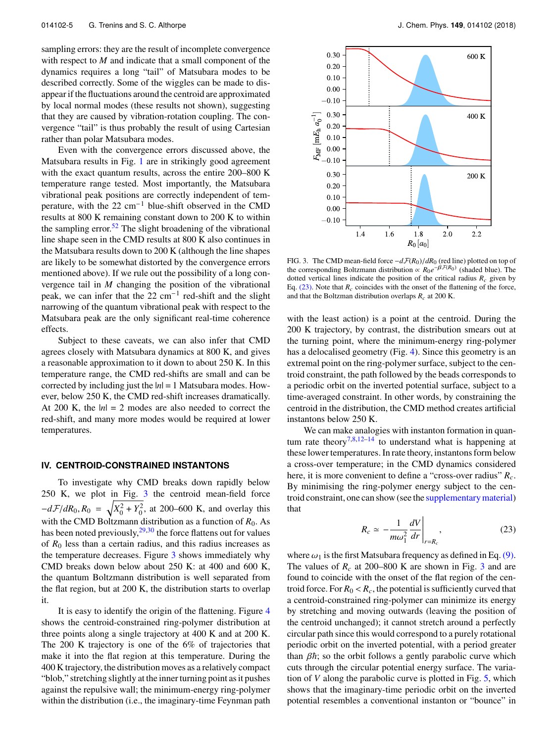sampling errors: they are the result of incomplete convergence with respect to *M* and indicate that a small component of the dynamics requires a long "tail" of Matsubara modes to be described correctly. Some of the wiggles can be made to disappear if the fluctuations around the centroid are approximated by local normal modes (these results not shown), suggesting that they are caused by vibration-rotation coupling. The convergence "tail" is thus probably the result of using Cartesian rather than polar Matsubara modes.

Even with the convergence errors discussed above, the Matsubara results in Fig. [1](#page-4-0) are in strikingly good agreement with the exact quantum results, across the entire 200–800 K temperature range tested. Most importantly, the Matsubara vibrational peak positions are correctly independent of temperature, with the 22 cm−<sup>1</sup> blue-shift observed in the CMD results at 800 K remaining constant down to 200 K to within the sampling error.<sup>[52](#page-9-1)</sup> The slight broadening of the vibrational line shape seen in the CMD results at 800 K also continues in the Matsubara results down to 200 K (although the line shapes are likely to be somewhat distorted by the convergence errors mentioned above). If we rule out the possibility of a long convergence tail in *M* changing the position of the vibrational peak, we can infer that the  $22 \text{ cm}^{-1}$  red-shift and the slight narrowing of the quantum vibrational peak with respect to the Matsubara peak are the only significant real-time coherence effects.

Subject to these caveats, we can also infer that CMD agrees closely with Matsubara dynamics at 800 K, and gives a reasonable approximation to it down to about 250 K. In this temperature range, the CMD red-shifts are small and can be corrected by including just the |*n*| = 1 Matsubara modes. However, below 250 K, the CMD red-shift increases dramatically. At 200 K, the  $|n| = 2$  modes are also needed to correct the red-shift, and many more modes would be required at lower temperatures.

#### <span id="page-5-0"></span>**IV. CENTROID-CONSTRAINED INSTANTONS**

To investigate why CMD breaks down rapidly below 250 K, we plot in Fig. [3](#page-5-1) the centroid mean-field force  $-dF/dR_0$ ,  $R_0 = \sqrt{X_0^2 + Y_0^2}$ , at 200–600 K, and overlay this with the CMD Boltzmann distribution as a function of *R*0. As has been noted previously,  $29,30$  $29,30$  the force flattens out for values of  $R_0$  less than a certain radius, and this radius increases as the temperature decreases. Figure [3](#page-5-1) shows immediately why CMD breaks down below about 250 K: at 400 and 600 K, the quantum Boltzmann distribution is well separated from the flat region, but at 200 K, the distribution starts to overlap it.

It is easy to identify the origin of the flattening. Figure [4](#page-6-0) shows the centroid-constrained ring-polymer distribution at three points along a single trajectory at 400 K and at 200 K. The 200 K trajectory is one of the 6% of trajectories that make it into the flat region at this temperature. During the 400 K trajectory, the distribution moves as a relatively compact "blob," stretching slightly at the inner turning point as it pushes against the repulsive wall; the minimum-energy ring-polymer within the distribution (i.e., the imaginary-time Feynman path

<span id="page-5-1"></span>

FIG. 3. The CMD mean-field force <sup>−</sup>*d*F(*R*0)/*dR*<sup>0</sup> (red line) plotted on top of the corresponding Boltzmann distribution  $\propto R_0 e^{-\beta \mathcal{F}(R_0)}$  (shaded blue). The dotted vertical lines indicate the position of the critical radius  $R_c$  given by Eq.  $(23)$ . Note that  $R_c$  coincides with the onset of the flattening of the force, and that the Boltzman distribution overlaps *Rc* at 200 K.

with the least action) is a point at the centroid. During the 200 K trajectory, by contrast, the distribution smears out at the turning point, where the minimum-energy ring-polymer has a delocalised geometry (Fig. [4\)](#page-6-0). Since this geometry is an extremal point on the ring-polymer surface, subject to the centroid constraint, the path followed by the beads corresponds to a periodic orbit on the inverted potential surface, subject to a time-averaged constraint. In other words, by constraining the centroid in the distribution, the CMD method creates artificial instantons below 250 K.

We can make analogies with instanton formation in quan-tum rate theory<sup>[7,](#page-8-2)[8](#page-8-3)[,12](#page-8-18)[–14](#page-8-5)</sup> to understand what is happening at these lower temperatures. In rate theory, instantons form below a cross-over temperature; in the CMD dynamics considered here, it is more convenient to define a "cross-over radius" *Rc*. By minimising the ring-polymer energy subject to the centroid constraint, one can show (see the [supplementary material\)](ftp://ftp.aip.org/epaps/journ_chem_phys/E-JCPSA6-149-022824) that

<span id="page-5-2"></span>
$$
R_c \simeq -\frac{1}{m\omega_1^2} \frac{dV}{dr}\Bigg|_{r=R_c},\tag{23}
$$

where  $\omega_1$  is the first Matsubara frequency as defined in Eq. [\(9\).](#page-2-4) The values of *R<sup>c</sup>* at 200–800 K are shown in Fig. [3](#page-5-1) and are found to coincide with the onset of the flat region of the centroid force. For  $R_0 < R_c$ , the potential is sufficiently curved that a centroid-constrained ring-polymer can minimize its energy by stretching and moving outwards (leaving the position of the centroid unchanged); it cannot stretch around a perfectly circular path since this would correspond to a purely rotational periodic orbit on the inverted potential, with a period greater than  $\beta \hbar$ ; so the orbit follows a gently parabolic curve which cuts through the circular potential energy surface. The variation of *V* along the parabolic curve is plotted in Fig. [5,](#page-6-1) which shows that the imaginary-time periodic orbit on the inverted potential resembles a conventional instanton or "bounce" in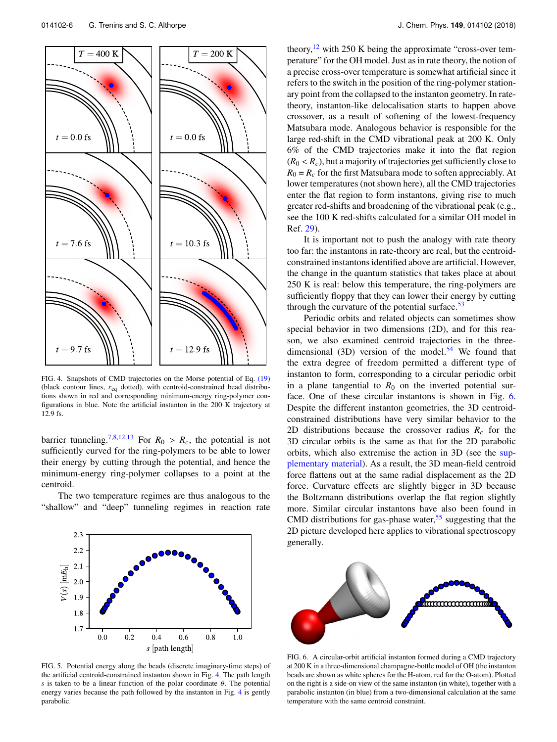<span id="page-6-0"></span>

FIG. 4. Snapshots of CMD trajectories on the Morse potential of Eq. [\(19\)](#page-3-5) (black contour lines, *r*eq dotted), with centroid-constrained bead distributions shown in red and corresponding minimum-energy ring-polymer configurations in blue. Note the artificial instanton in the 200 K trajectory at 12.9 fs.

barrier tunneling.<sup>[7,](#page-8-2)[8](#page-8-3)[,12](#page-8-18)[,13](#page-8-40)</sup> For  $R_0 > R_c$ , the potential is not sufficiently curved for the ring-polymers to be able to lower their energy by cutting through the potential, and hence the minimum-energy ring-polymer collapses to a point at the centroid.

The two temperature regimes are thus analogous to the "shallow" and "deep" tunneling regimes in reaction rate

<span id="page-6-1"></span>

FIG. 5. Potential energy along the beads (discrete imaginary-time steps) of the artificial centroid-constrained instanton shown in Fig. [4.](#page-6-0) The path length *s* is taken to be a linear function of the polar coordinate  $\theta$ . The potential energy varies because the path followed by the instanton in Fig. [4](#page-6-0) is gently parabolic.

theory, $12$  with 250 K being the approximate "cross-over temperature" for the OH model. Just as in rate theory, the notion of a precise cross-over temperature is somewhat artificial since it refers to the switch in the position of the ring-polymer stationary point from the collapsed to the instanton geometry. In ratetheory, instanton-like delocalisation starts to happen above crossover, as a result of softening of the lowest-frequency Matsubara mode. Analogous behavior is responsible for the large red-shift in the CMD vibrational peak at 200 K. Only 6% of the CMD trajectories make it into the flat region  $(R_0 < R_c)$ , but a majority of trajectories get sufficiently close to  $R_0 = R_c$  for the first Matsubara mode to soften appreciably. At lower temperatures (not shown here), all the CMD trajectories enter the flat region to form instantons, giving rise to much greater red-shifts and broadening of the vibrational peak (e.g., see the 100 K red-shifts calculated for a similar OH model in Ref. [29\)](#page-8-19).

It is important not to push the analogy with rate theory too far: the instantons in rate-theory are real, but the centroidconstrained instantons identified above are artificial. However, the change in the quantum statistics that takes place at about 250 K is real: below this temperature, the ring-polymers are sufficiently floppy that they can lower their energy by cutting through the curvature of the potential surface.<sup>[53](#page-9-2)</sup>

Periodic orbits and related objects can sometimes show special behavior in two dimensions (2D), and for this reason, we also examined centroid trajectories in the three-dimensional (3D) version of the model.<sup>[54](#page-9-3)</sup> We found that the extra degree of freedom permitted a different type of instanton to form, corresponding to a circular periodic orbit in a plane tangential to  $R_0$  on the inverted potential surface. One of these circular instantons is shown in Fig. [6.](#page-6-2) Despite the different instanton geometries, the 3D centroidconstrained distributions have very similar behavior to the 2D distributions because the crossover radius *R<sup>c</sup>* for the 3D circular orbits is the same as that for the 2D parabolic orbits, which also extremise the action in 3D (see the [sup](ftp://ftp.aip.org/epaps/journ_chem_phys/E-JCPSA6-149-022824)[plementary material\)](ftp://ftp.aip.org/epaps/journ_chem_phys/E-JCPSA6-149-022824). As a result, the 3D mean-field centroid force flattens out at the same radial displacement as the 2D force. Curvature effects are slightly bigger in 3D because the Boltzmann distributions overlap the flat region slightly more. Similar circular instantons have also been found in CMD distributions for gas-phase water,<sup>[55](#page-9-4)</sup> suggesting that the 2D picture developed here applies to vibrational spectroscopy generally.

<span id="page-6-2"></span>

FIG. 6. A circular-orbit artificial instanton formed during a CMD trajectory at 200 K in a three-dimensional champagne-bottle model of OH (the instanton beads are shown as white spheres for the H-atom, red for the O-atom). Plotted on the right is a side-on view of the same instanton (in white), together with a parabolic instanton (in blue) from a two-dimensional calculation at the same temperature with the same centroid constraint.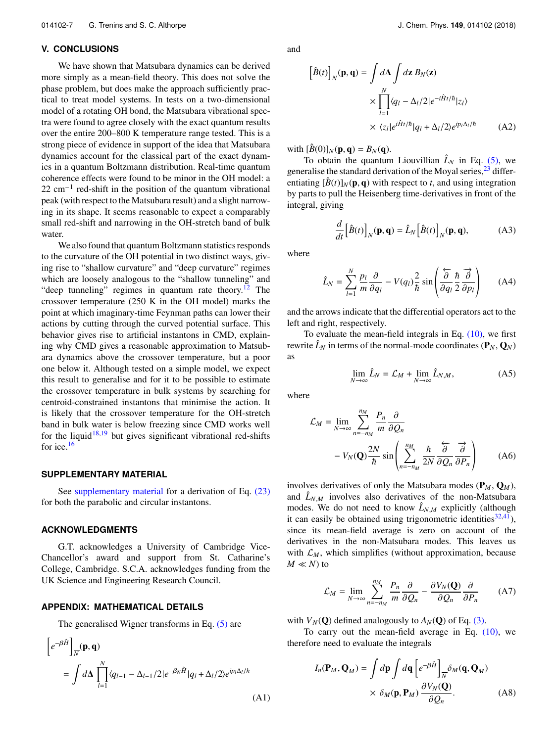#### <span id="page-7-0"></span>**V. CONCLUSIONS**

We have shown that Matsubara dynamics can be derived more simply as a mean-field theory. This does not solve the phase problem, but does make the approach sufficiently practical to treat model systems. In tests on a two-dimensional model of a rotating OH bond, the Matsubara vibrational spectra were found to agree closely with the exact quantum results over the entire 200–800 K temperature range tested. This is a strong piece of evidence in support of the idea that Matsubara dynamics account for the classical part of the exact dynamics in a quantum Boltzmann distribution. Real-time quantum coherence effects were found to be minor in the OH model: a 22 cm<sup>-1</sup> red-shift in the position of the quantum vibrational peak (with respect to the Matsubara result) and a slight narrowing in its shape. It seems reasonable to expect a comparably small red-shift and narrowing in the OH-stretch band of bulk water.

We also found that quantum Boltzmann statistics responds to the curvature of the OH potential in two distinct ways, giving rise to "shallow curvature" and "deep curvature" regimes which are loosely analogous to the "shallow tunneling" and "deep tunneling" regimes in quantum rate theory. $12$  The crossover temperature (250 K in the OH model) marks the point at which imaginary-time Feynman paths can lower their actions by cutting through the curved potential surface. This behavior gives rise to artificial instantons in CMD, explaining why CMD gives a reasonable approximation to Matsubara dynamics above the crossover temperature, but a poor one below it. Although tested on a simple model, we expect this result to generalise and for it to be possible to estimate the crossover temperature in bulk systems by searching for centroid-constrained instantons that minimise the action. It is likely that the crossover temperature for the OH-stretch band in bulk water is below freezing since CMD works well for the liquid<sup>[18](#page-8-28)[,19](#page-8-17)</sup> but gives significant vibrational red-shifts for ice.[16](#page-8-16)

#### **SUPPLEMENTARY MATERIAL**

See [supplementary material](ftp://ftp.aip.org/epaps/journ_chem_phys/E-JCPSA6-149-022824) for a derivation of Eq.  $(23)$ for both the parabolic and circular instantons.

### **ACKNOWLEDGMENTS**

 $\overline{a}$ 

G.T. acknowledges a University of Cambridge Vice-Chancellor's award and support from St. Catharine's College, Cambridge. S.C.A. acknowledges funding from the UK Science and Engineering Research Council.

#### <span id="page-7-1"></span>**APPENDIX: MATHEMATICAL DETAILS**

The generalised Wigner transforms in Eq. [\(5\)](#page-2-1) are  $\overline{a}$ 

$$
\left[e^{-\beta \hat{H}}\right]_{\overline{N}}(\mathbf{p}, \mathbf{q})
$$
  
= 
$$
\int d\mathbf{\Delta} \prod_{l=1}^{N} \langle q_{l-1} - \Delta_{l-1}/2|e^{-\beta_{N}\hat{H}}|q_{l} + \Delta_{l}/2\rangle e^{ip_{l}\Delta_{l}/\hbar}
$$
(A1)

and

$$
\left[\hat{B}(t)\right]_N(\mathbf{p}, \mathbf{q}) = \int d\Delta \int d\mathbf{z} \, B_N(\mathbf{z})
$$

$$
\times \prod_{l=1}^N \langle q_l - \Delta_l/2|e^{-i\hat{H}t/\hbar}|z_l\rangle
$$

$$
\times \langle z_l|e^{i\hat{H}t/\hbar}|q_l + \Delta_l/2\rangle e^{ip_l\Delta_l/\hbar} \tag{A2}
$$

with  $[\hat{B}(0)]_N(\mathbf{p}, \mathbf{q}) = B_N(\mathbf{q}).$ 

To obtain the quantum Liouvillian  $\hat{L}_N$  in Eq. [\(5\),](#page-2-1) we generalise the standard derivation of the Moyal series,  $^{23}$  $^{23}$  $^{23}$  differentiating  $[\hat{B}(t)]_N(\mathbf{p}, \mathbf{q})$  with respect to *t*, and using integration by parts to pull the Heisenberg time-derivatives in front of the integral, giving

$$
\frac{d}{dt} \left[ \hat{B}(t) \right]_N(\mathbf{p}, \mathbf{q}) = \hat{L}_N \left[ \hat{B}(t) \right]_N(\mathbf{p}, \mathbf{q}), \tag{A3}
$$

where

$$
\hat{L}_N = \sum_{l=1}^N \frac{p_l}{m} \frac{\partial}{\partial q_l} - V(q_l) \frac{2}{\hbar} \sin \left( \frac{\partial}{\partial q_l} \frac{\hbar}{2} \frac{\partial}{\partial p_l} \right) \tag{A4}
$$

and the arrows indicate that the differential operators act to the left and right, respectively.

To evaluate the mean-field integrals in Eq.  $(10)$ , we first rewrite  $\hat{L}_N$  in terms of the normal-mode coordinates  $(\mathbf{P}_N, \mathbf{Q}_N)$ as

$$
\lim_{N \to \infty} \hat{L}_N = \mathcal{L}_M + \lim_{N \to \infty} \hat{L}_{N,M},
$$
\n(A5)

where

$$
\mathcal{L}_M = \lim_{N \to \infty} \sum_{n=-n_M}^{n_M} \frac{P_n}{m} \frac{\partial}{\partial Q_n}
$$

$$
-V_N(\mathbf{Q}) \frac{2N}{\hbar} \sin \left( \sum_{n=-n_M}^{n_M} \frac{\hbar}{2N} \frac{\partial}{\partial Q_n} \frac{\partial}{\partial P_n} \right) \tag{A6}
$$

involves derivatives of only the Matsubara modes  $(\mathbf{P}_M, \mathbf{Q}_M)$ , and  $\hat{L}_{N,M}$  involves also derivatives of the non-Matsubara modes. We do not need to know  $\hat{L}_{N,M}$  explicitly (although it can easily be obtained using trigonometric identities $32,41$  $32,41$ ), since its mean-field average is zero on account of the derivatives in the non-Matsubara modes. This leaves us with  $\mathcal{L}_M$ , which simplifies (without approximation, because  $M \ll N$ ) to

$$
\mathcal{L}_M = \lim_{N \to \infty} \sum_{n=-n_M}^{n_M} \frac{P_n}{m} \frac{\partial}{\partial Q_n} - \frac{\partial V_N(\mathbf{Q})}{\partial Q_n} \frac{\partial}{\partial P_n} \tag{A7}
$$

with  $V_N(\mathbf{Q})$  defined analogously to  $A_N(\mathbf{Q})$  of Eq. [\(3\).](#page-2-5)

To carry out the mean-field average in Eq. [\(10\),](#page-2-3) we therefore need to evaluate the integrals

$$
I_n(\mathbf{P}_M, \mathbf{Q}_M) = \int d\mathbf{p} \int d\mathbf{q} \left[ e^{-\beta \hat{H}} \right]_{\overline{N}} \delta_M(\mathbf{q}, \mathbf{Q}_M)
$$

$$
\times \delta_M(\mathbf{p}, \mathbf{P}_M) \frac{\partial V_N(\mathbf{Q})}{\partial Q_n}.
$$
 (A8)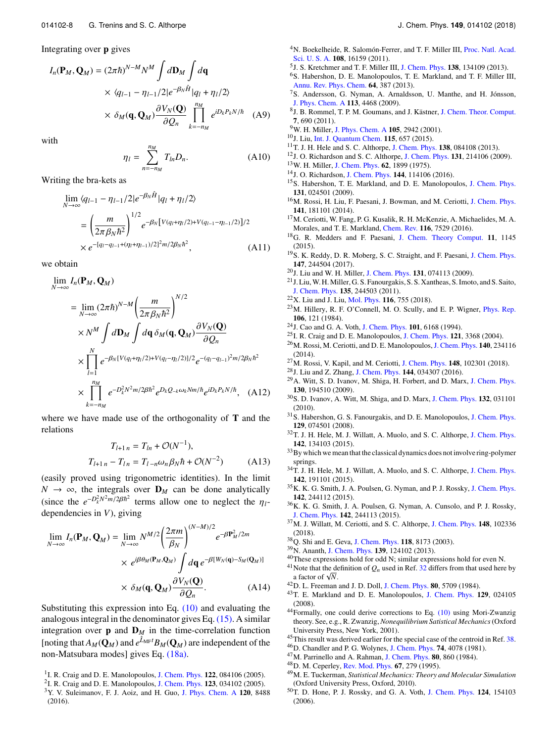Integrating over **p** gives

$$
I_n(\mathbf{P}_M, \mathbf{Q}_M) = (2\pi\hbar)^{N-M} N^M \int d\mathbf{D}_M \int d\mathbf{q}
$$
  
 
$$
\times \langle q_{l-1} - \eta_{l-1}/2 |e^{-\beta_N \hat{H}}| q_l + \eta_l/2 \rangle
$$
  
 
$$
\times \delta_M(\mathbf{q}, \mathbf{Q}_M) \frac{\partial V_N(\mathbf{Q})}{\partial Q_n} \prod_{k=-n_M}^{n_M} e^{iD_k P_k N/\hbar} \quad (A9)
$$

with

$$
\eta_l = \sum_{n=-n_M}^{n_M} T_{ln} D_n.
$$
 (A10)

Writing the bra-kets as

$$
\lim_{N \to \infty} \langle q_{l-1} - \eta_{l-1}/2 | e^{-\beta_N \hat{H}} | q_l + \eta_l / 2 \rangle
$$
\n
$$
= \left( \frac{m}{2\pi \beta_N \hbar^2} \right)^{1/2} e^{-\beta_N \left[ V(q_l + \eta_l / 2) + V(q_{l-1} - \eta_{l-1} / 2) \right] / 2}
$$
\n
$$
\times e^{-[q_l - q_{l-1} + (\eta_l + \eta_{l-1}) / 2]^2 m / 2\beta_N \hbar^2},
$$
\n(A11)

we obtain

$$
\lim_{N \to \infty} I_n(\mathbf{P}_M, \mathbf{Q}_M)
$$
\n
$$
= \lim_{N \to \infty} (2\pi \hbar)^{N-M} \left( \frac{m}{2\pi \beta_N \hbar^2} \right)^{N/2}
$$
\n
$$
\times N^M \int d\mathbf{D}_M \int d\mathbf{q} \, \delta_M(\mathbf{q}, \mathbf{Q}_M) \frac{\partial V_N(\mathbf{Q})}{\partial Q_n}
$$
\n
$$
\times \prod_{l=1}^N e^{-\beta_N [V(q_l + \eta_l/2) + V(q_l - \eta_l/2)]/2} e^{-(q_l - q_{l-1})^2 m/2\beta_N \hbar^2}
$$
\n
$$
\times \prod_{k=-n_M}^{n_M} e^{-D_k^2 N^2 m/2\beta \hbar^2} e^{D_k Q_{-k} \omega_k N m/\hbar} e^{iD_k P_k N/\hbar}, \quad (A12)
$$

where we have made use of the orthogonality of **T** and the relations

$$
T_{l+1 n} = T_{ln} + \mathcal{O}(N^{-1}),
$$
  
\n
$$
T_{l+1 n} - T_{ln} = T_{l-n} \omega_n \beta_N \hbar + \mathcal{O}(N^{-2})
$$
 (A13)

(easily proved using trigonometric identities). In the limit  $N$  → ∞, the integrals over  $D_M$  can be done analytically (since the  $e^{-D_k^2 N^2 m/2\beta \hbar^2}$  terms allow one to neglect the  $\eta_l$ -<br>dependencies in V) giving dependencies in *V*), giving

$$
\lim_{N \to \infty} I_n(\mathbf{P}_M, \mathbf{Q}_M) = \lim_{N \to \infty} N^{M/2} \left(\frac{2\pi m}{\beta_N}\right)^{(N-M)/2} e^{-\beta \mathbf{P}_M^2 / 2m}
$$
  
 
$$
\times e^{i\beta \theta_M(\mathbf{P}_M, \mathbf{Q}_M)} \int d\mathbf{q} \, e^{-\beta [W_N(\mathbf{q}) - S_M(\mathbf{Q}_M)]}
$$
  
 
$$
\times \delta_M(\mathbf{q}, \mathbf{Q}_M) \frac{\partial V_N(\mathbf{Q})}{\partial Q_n}.
$$
 (A14)  
Substituting this expression into Eq. (10) and evaluating the

analogous integral in the denominator gives Eq. [\(15\).](#page-3-2) A similar integration over **p** and  $D_M$  in the time-correlation function [noting that  $A_M(\mathbf{Q}_M)$  and  $e^{\hat{L}_{\text{MF}}t}B_M(\mathbf{Q}_M)$  are independent of the non-Matsubara modes] gives Eq. [\(18a\).](#page-3-1)

- 2 I. R. Craig and D. E. Manolopoulos, [J. Chem. Phys.](https://doi.org/10.1063/1.1954769) **123**, 034102 (2005).
- <span id="page-8-15"></span><sup>3</sup>Y. V. Suleimanov, F. J. Aoiz, and H. Guo, [J. Phys. Chem. A](https://doi.org/10.1021/acs.jpca.6b07140) **120**, 8488 (2016).
- <sup>4</sup>N. Boekelheide, R. Salomón-Ferrer, and T. F. Miller III, [Proc. Natl. Acad.](https://doi.org/10.1073/pnas.1106397108) [Sci. U. S. A.](https://doi.org/10.1073/pnas.1106397108) **108**, 16159 (2011).
- 5 J. S. Kretchmer and T. F. Miller III, [J. Chem. Phys.](https://doi.org/10.1063/1.4797462) **138**, 134109 (2013).
- <span id="page-8-6"></span><sup>6</sup>S. Habershon, D. E. Manolopoulos, T. E. Markland, and T. F. Miller III, [Annu. Rev. Phys. Chem.](https://doi.org/10.1146/annurev-physchem-040412-110122) **64**, 387 (2013).
- <span id="page-8-2"></span><sup>7</sup>S. Andersson, G. Nyman, A. Arnaldsson, U. Manthe, and H. Jónsson, [J. Phys. Chem. A](https://doi.org/10.1021/jp811070w) **113**, 4468 (2009).
- <span id="page-8-3"></span><sup>8</sup> J. B. Rommel, T. P. M. Goumans, and J. Kästner, [J. Chem. Theor. Comput.](https://doi.org/10.1021/ct100658y) **7**, 690 (2011).
- <span id="page-8-9"></span><sup>9</sup>W. H. Miller, [J. Phys. Chem. A](https://doi.org/10.1021/jp003712k) **105**, 2942 (2001).
- <span id="page-8-1"></span><sup>10</sup>J. Liu, [Int. J. Quantum Chem.](https://doi.org/10.1002/qua.24896) **115**, 657 (2015).
- <span id="page-8-4"></span><sup>11</sup>T. J. H. Hele and S. C. Althorpe, [J. Chem. Phys.](https://doi.org/10.1063/1.4792697) **138**, 084108 (2013).
- <span id="page-8-18"></span><sup>12</sup>J. O. Richardson and S. C. Althorpe, [J. Chem. Phys.](https://doi.org/10.1063/1.3267318) **131**, 214106 (2009).
- <span id="page-8-40"></span><sup>13</sup>W. H. Miller, [J. Chem. Phys.](https://doi.org/10.1063/1.430676) **62**, 1899 (1975).
- <span id="page-8-5"></span><sup>14</sup>J. O. Richardson, [J. Chem. Phys.](https://doi.org/10.1063/1.4943866) **144**, 114106 (2016).
- <span id="page-8-7"></span><sup>15</sup>S. Habershon, T. E. Markland, and D. E. Manolopoulos, [J. Chem. Phys.](https://doi.org/10.1063/1.3167790) **131**, 024501 (2009).
- <span id="page-8-16"></span><sup>16</sup>M. Rossi, H. Liu, F. Paesani, J. Bowman, and M. Ceriotti, [J. Chem. Phys.](https://doi.org/10.1063/1.4901214) **141**, 181101 (2014).
- <sup>17</sup>M. Ceriotti, W. Fang, P. G. Kusalik, R. H. McKenzie, A. Michaelides, M. A. Morales, and T. E. Markland, [Chem. Rev.](https://doi.org/10.1021/acs.chemrev.5b00674) **116**, 7529 (2016).
- <span id="page-8-28"></span><sup>18</sup>G. R. Medders and F. Paesani, [J. Chem. Theory Comput.](https://doi.org/10.1021/ct501131j) **11**, 1145 (2015).
- <span id="page-8-17"></span><sup>19</sup>S. K. Reddy, D. R. Moberg, S. C. Straight, and F. Paesani, [J. Chem. Phys.](https://doi.org/10.1063/1.5006480) **147**, 244504 (2017).
- <span id="page-8-37"></span><sup>20</sup>J. Liu and W. H. Miller, [J. Chem. Phys.](https://doi.org/10.1063/1.3202438) **131**, 074113 (2009).
- <sup>21</sup>J. Liu,W. H.Miller, G. S. Fanourgakis, S. S. Xantheas, S. Imoto, and S. Saito, [J. Chem. Phys.](https://doi.org/10.1063/1.3670960) **135**, 244503 (2011).
- <span id="page-8-8"></span><sup>22</sup>X. Liu and J. Liu, [Mol. Phys.](https://doi.org/10.1080/00268976.2018.1434907) **116**, 755 (2018).
- <span id="page-8-10"></span><sup>23</sup>M. Hillery, R. F. O'Connell, M. O. Scully, and E. P. Wigner, [Phys. Rep.](https://doi.org/10.1016/0370-1573(84)90160-1) **106**, 121 (1984).
- <span id="page-8-11"></span><sup>24</sup>J. Cao and G. A. Voth, [J. Chem. Phys.](https://doi.org/10.1063/1.468399) **101**, 6168 (1994).
- <span id="page-8-13"></span><sup>25</sup>I. R. Craig and D. E. Manolopoulos, [J. Chem. Phys.](https://doi.org/10.1063/1.1777575) **121**, 3368 (2004).
- <sup>26</sup>M. Rossi, M. Ceriotti, and D. E. Manolopoulos,[J. Chem. Phys.](https://doi.org/10.1063/1.4883861) **140**, 234116 (2014).
- <span id="page-8-14"></span><sup>27</sup>M. Rossi, V. Kapil, and M. Ceriotti, [J. Chem. Phys.](https://doi.org/10.1063/1.4990536) **148**, 102301 (2018).
- <span id="page-8-12"></span><sup>28</sup>J. Liu and Z. Zhang, [J. Chem. Phys.](https://doi.org/10.1063/1.4939953) **144**, 034307 (2016).
- <span id="page-8-19"></span><sup>29</sup>A. Witt, S. D. Ivanov, M. Shiga, H. Forbert, and D. Marx, [J. Chem. Phys.](https://doi.org/10.1063/1.3125009) **130**, 194510 (2009).
- <span id="page-8-24"></span><sup>30</sup>S. D. Ivanov, A. Witt, M. Shiga, and D. Marx, [J. Chem. Phys.](https://doi.org/10.1063/1.3290958) **132**, 031101 (2010).
- <span id="page-8-20"></span><sup>31</sup>S. Habershon, G. S. Fanourgakis, and D. E. Manolopoulos, [J. Chem. Phys.](https://doi.org/10.1063/1.2968555) **129**, 074501 (2008).
- <span id="page-8-21"></span><sup>32</sup>T. J. H. Hele, M. J. Willatt, A. Muolo, and S. C. Althorpe, [J. Chem. Phys.](https://doi.org/10.1063/1.4916311) **142**, 134103 (2015).
- <span id="page-8-22"></span><sup>33</sup>By which we mean that the classical dynamics does not involve ring-polymer springs.
- <span id="page-8-23"></span><sup>34</sup>T. J. H. Hele, M. J. Willatt, A. Muolo, and S. C. Althorpe, [J. Chem. Phys.](https://doi.org/10.1063/1.4921234) **142**, 191101 (2015).
- <span id="page-8-25"></span><sup>35</sup>K. K. G. Smith, J. A. Poulsen, G. Nyman, and P. J. Rossky, [J. Chem. Phys.](https://doi.org/10.1063/1.4922887) **142**, 244112 (2015).
- <span id="page-8-26"></span><sup>36</sup>K. K. G. Smith, J. A. Poulsen, G. Nyman, A. Cunsolo, and P. J. Rossky, [J. Chem. Phys.](https://doi.org/10.1063/1.4922888) **142**, 244113 (2015).
- <span id="page-8-27"></span><sup>37</sup>M. J. Willatt, M. Ceriotti, and S. C. Althorpe, [J. Chem. Phys.](https://doi.org/10.1063/1.5004808) **148**, 102336 (2018).
- <span id="page-8-29"></span><sup>38</sup>Q. Shi and E. Geva, [J. Chem. Phys.](https://doi.org/10.1063/1.1564814) **118**, 8173 (2003).
- <span id="page-8-30"></span><sup>39</sup>N. Ananth, [J. Chem. Phys.](https://doi.org/10.1063/1.4821590) **139**, 124102 (2013).
- <span id="page-8-32"></span><span id="page-8-31"></span><sup>40</sup>These expressions hold for odd N; similar expressions hold for even N. <sup>41</sup> Note that the definition of  $Q_n$  used in Ref. [32](#page-8-21) differs from that used here by Note that the de<br>a factor of √*N*.
- <span id="page-8-33"></span><sup>42</sup>D. L. Freeman and J. D. Doll, [J. Chem. Phys.](https://doi.org/10.1063/1.446640) **80**, 5709 (1984).
- <span id="page-8-34"></span><sup>43</sup>T. E. Markland and D. E. Manolopoulos, [J. Chem. Phys.](https://doi.org/10.1063/1.2953308) **129**, 024105 (2008).
- <span id="page-8-35"></span><sup>44</sup>Formally, one could derive corrections to Eq. [\(10\)](#page-2-3) using Mori-Zwanzig theory. See, e.g., R. Zwanzig, *Nonequilibrium Satistical Mechanics*(Oxford University Press, New York, 2001).
- <span id="page-8-36"></span><sup>45</sup>This result was derived earlier for the special case of the centroid in Ref. [38.](#page-8-29)
- <span id="page-8-38"></span><sup>46</sup>D. Chandler and P. G. Wolynes, [J. Chem. Phys.](https://doi.org/10.1063/1.441588) **74**, 4078 (1981).
- <sup>47</sup>M. Parrinello and A. Rahman, [J. Chem. Phys.](https://doi.org/10.1063/1.446740) **80**, 860 (1984).
- <sup>48</sup>D. M. Ceperley, [Rev. Mod. Phys.](https://doi.org/10.1103/revmodphys.67.279) **67**, 279 (1995).
- <sup>49</sup>M. E. Tuckerman, *Statistical Mechanics: Theory and Molecular Simulation* (Oxford University Press, Oxford, 2010).
- <span id="page-8-39"></span><sup>50</sup>T. D. Hone, P. J. Rossky, and G. A. Voth, [J. Chem. Phys.](https://doi.org/10.1063/1.2186636) **124**, 154103 (2006).

<span id="page-8-0"></span><sup>1</sup> I. R. Craig and D. E. Manolopoulos, [J. Chem. Phys.](https://doi.org/10.1063/1.1850093) **122**, 084106 (2005).